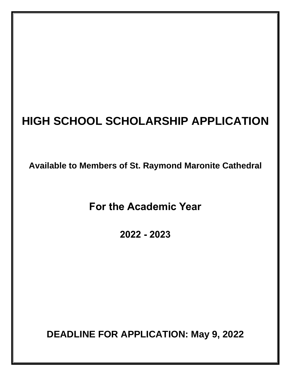# **HIGH SCHOOL SCHOLARSHIP APPLICATION**

**Available to Members of St. Raymond Maronite Cathedral**

**For the Academic Year** 

**2022 - 2023**

**DEADLINE FOR APPLICATION: May 9, 2022**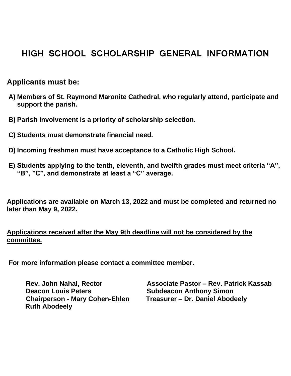## **HIGH SCHOOL SCHOLARSHIP GENERAL INFORMATION**

### **Applicants must be:**

- **A) Members of St. Raymond Maronite Cathedral, who regularly attend, participate and support the parish.**
- **B) Parish involvement is a priority of scholarship selection.**
- **C) Students must demonstrate financial need.**
- **D) Incoming freshmen must have acceptance to a Catholic High School.**
- **E) Students applying to the tenth, eleventh, and twelfth grades must meet criteria "A", "B", "C", and demonstrate at least a "C" average.**

**Applications are available on March 13, 2022 and must be completed and returned no later than May 9, 2022.**

#### **Applications received after the May 9th deadline will not be considered by the committee.**

**For more information please contact a committee member.**

**Deacon Louis Peters Subdeacon Anthony Simon Chairperson - Mary Cohen-Ehlen Treasurer – Dr. Daniel Abodeely Ruth Abodeely** 

 **Rev. John Nahal, Rector Associate Pastor – Rev. Patrick Kassab**